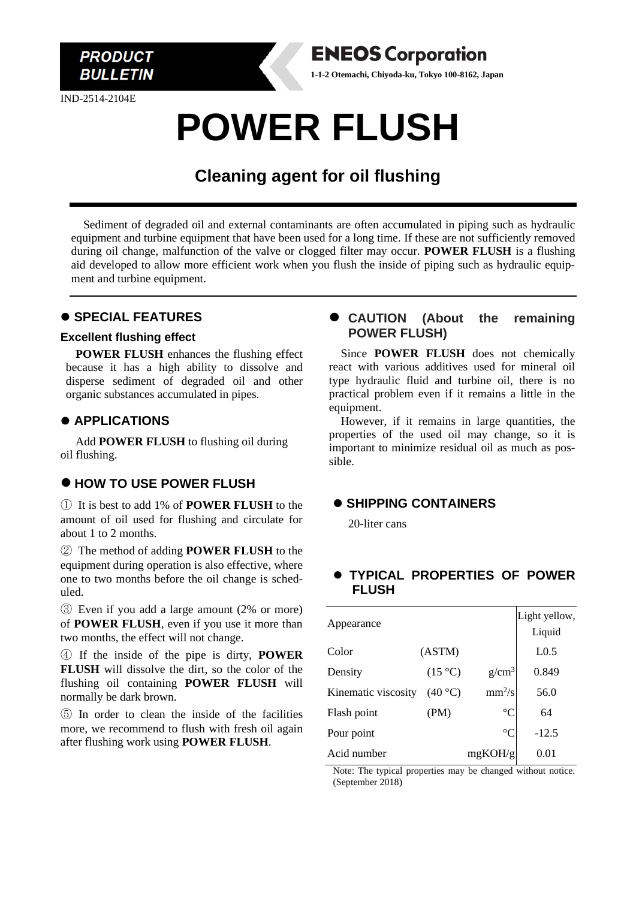

IND-2514-2104E

# **POWER FLUSH**

## **Cleaning agent for oil flushing**

Sediment of degraded oil and external contaminants are often accumulated in piping such as hydraulic equipment and turbine equipment that have been used for a long time. If these are not sufficiently removed during oil change, malfunction of the valve or clogged filter may occur. **POWER FLUSH** is a flushing aid developed to allow more efficient work when you flush the inside of piping such as hydraulic equipment and turbine equipment.

### ⚫ **SPECIAL FEATURES**

#### **Excellent flushing effect**

**POWER FLUSH** enhances the flushing effect because it has a high ability to dissolve and disperse sediment of degraded oil and other organic substances accumulated in pipes.

#### ⚫ **APPLICATIONS**

Add **POWER FLUSH** to flushing oil during oil flushing.

#### ⚫ **HOW TO USE POWER FLUSH**

① It is best to add 1% of **POWER FLUSH** to the amount of oil used for flushing and circulate for about 1 to 2 months.

② The method of adding **POWER FLUSH** to the equipment during operation is also effective, where one to two months before the oil change is scheduled.

③ Even if you add a large amount (2% or more) of **POWER FLUSH**, even if you use it more than two months, the effect will not change.

④ If the inside of the pipe is dirty, **POWER FLUSH** will dissolve the dirt, so the color of the flushing oil containing **POWER FLUSH** will normally be dark brown.

⑤ In order to clean the inside of the facilities more, we recommend to flush with fresh oil again after flushing work using **POWER FLUSH**.

#### ⚫ **CAUTION (About the remaining POWER FLUSH)**

Since **POWER FLUSH** does not chemically react with various additives used for mineral oil type hydraulic fluid and turbine oil, there is no practical problem even if it remains a little in the equipment.

However, if it remains in large quantities, the properties of the used oil may change, so it is important to minimize residual oil as much as possible.

#### ⚫ **SHIPPING CONTAINERS**

**ENEOS Corporation 1-1-2 Otemachi, Chiyoda-ku, Tokyo 100-8162, Japan**

20-liter cans

### ⚫ **TYPICAL PROPERTIES OF POWER FLUSH**

|                     |                  |                 | Light yellow,    |
|---------------------|------------------|-----------------|------------------|
| Appearance          |                  |                 | Liquid           |
| Color               | (ASTM)           |                 | L <sub>0.5</sub> |
| Density             | $(15 \degree C)$ | $g/cm^3$        | 0.849            |
| Kinematic viscosity | (40 °C)          | $mm^2/s$        | 56.0             |
| Flash point         | (PM)             | $\rm ^{\circ}C$ | 64               |
| Pour point          |                  | $^{\circ}C$     | $-12.5$          |
| Acid number         |                  | mgKOH/g         | 0.01             |

Note: The typical properties may be changed without notice. (September 2018)